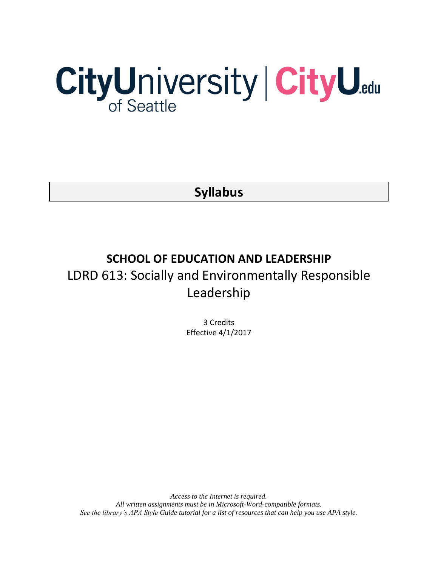# CityUniversity | CityU.edu

**Syllabus**

# **SCHOOL OF EDUCATION AND LEADERSHIP** LDRD 613: Socially and Environmentally Responsible Leadership

3 Credits Effective 4/1/2017

*Access to the Internet is required. All written assignments must be in Microsoft-Word-compatible formats. See the library's APA Style Guide tutorial for a list of resources that can help you use APA style.*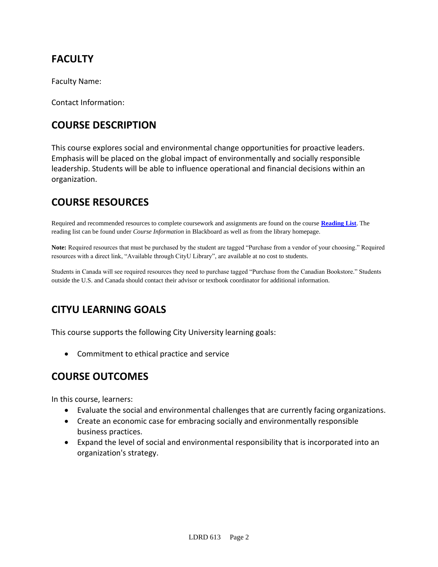# **FACULTY**

Faculty Name:

Contact Information:

# **COURSE DESCRIPTION**

This course explores social and environmental change opportunities for proactive leaders. Emphasis will be placed on the global impact of environmentally and socially responsible leadership. Students will be able to influence operational and financial decisions within an organization.

# **COURSE RESOURCES**

Required and recommended resources to complete coursework and assignments are found on the course **[Reading List](https://nam03.safelinks.protection.outlook.com/?url=https%3A%2F%2Fcityu.alma.exlibrisgroup.com%2Fleganto%2Flogin%3Fauth%3DSAML&data=04%7C01%7CMMara%40cityu.edu%7C70673ce0fe0144040eda08d87472e204%7Cb3fa96d9f5154662add763d854e39e63%7C1%7C0%7C637387384066198115%7CUnknown%7CTWFpbGZsb3d8eyJWIjoiMC4wLjAwMDAiLCJQIjoiV2luMzIiLCJBTiI6Ik1haWwiLCJXVCI6Mn0%3D%7C1000&sdata=JbwP%2Fm5Q%2BMgIUWa%2FXceos%2BoiLv0DX%2B%2FL%2BNGNMbX9P8E%3D&reserved=0)**. The reading list can be found under *Course Information* in Blackboard as well as from the library homepage.

**Note:** Required resources that must be purchased by the student are tagged "Purchase from a vendor of your choosing." Required resources with a direct link, "Available through CityU Library", are available at no cost to students.

Students in Canada will see required resources they need to purchase tagged "Purchase from the Canadian Bookstore." Students outside the U.S. and Canada should contact their advisor or textbook coordinator for additional information.

# **CITYU LEARNING GOALS**

This course supports the following City University learning goals:

• Commitment to ethical practice and service

## **COURSE OUTCOMES**

In this course, learners:

- Evaluate the social and environmental challenges that are currently facing organizations.
- Create an economic case for embracing socially and environmentally responsible business practices.
- Expand the level of social and environmental responsibility that is incorporated into an organization's strategy.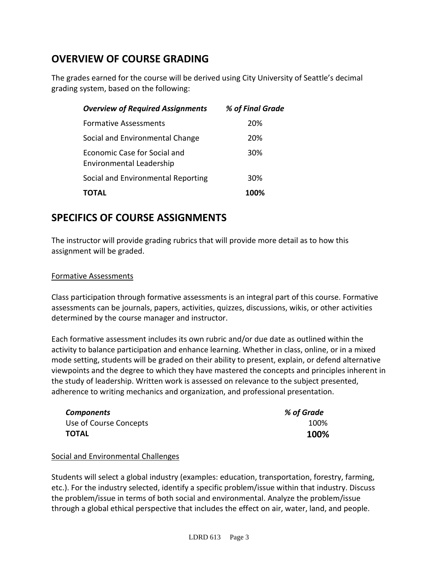# **OVERVIEW OF COURSE GRADING**

The grades earned for the course will be derived using City University of Seattle's decimal grading system, based on the following:

| <b>Overview of Required Assignments</b>                  | % of Final Grade |
|----------------------------------------------------------|------------------|
| <b>Formative Assessments</b>                             | 20%              |
| Social and Environmental Change                          | 20%              |
| Economic Case for Social and<br>Environmental Leadership | 30%              |
| Social and Environmental Reporting                       | 30%              |
| TOTAL                                                    | 100%             |

# **SPECIFICS OF COURSE ASSIGNMENTS**

The instructor will provide grading rubrics that will provide more detail as to how this assignment will be graded.

## Formative Assessments

Class participation through formative assessments is an integral part of this course. Formative assessments can be journals, papers, activities, quizzes, discussions, wikis, or other activities determined by the course manager and instructor.

Each formative assessment includes its own rubric and/or due date as outlined within the activity to balance participation and enhance learning. Whether in class, online, or in a mixed mode setting, students will be graded on their ability to present, explain, or defend alternative viewpoints and the degree to which they have mastered the concepts and principles inherent in the study of leadership. Written work is assessed on relevance to the subject presented, adherence to writing mechanics and organization, and professional presentation.

| <b>Components</b>      | % of Grade |
|------------------------|------------|
| Use of Course Concepts | 100%       |
| <b>TOTAL</b>           | 100%       |

## Social and Environmental Challenges

Students will select a global industry (examples: education, transportation, forestry, farming, etc.). For the industry selected, identify a specific problem/issue within that industry. Discuss the problem/issue in terms of both social and environmental. Analyze the problem/issue through a global ethical perspective that includes the effect on air, water, land, and people.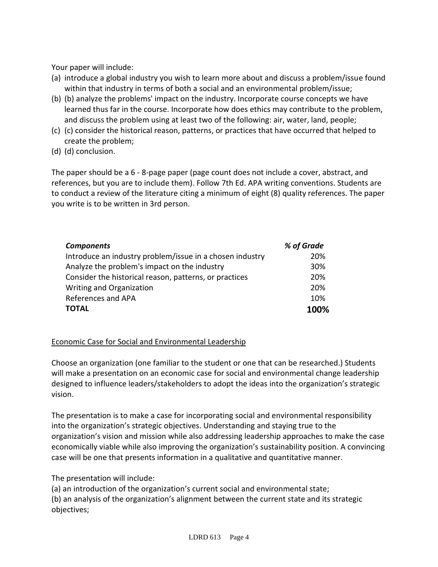Your paper will include:

- (a) introduce a global industry you wish to learn more about and discuss a problem/issue found within that industry in terms of both a social and an environmental problem/issue;
- (b) (b) analyze the problems' impact on the industry. Incorporate course concepts we have learned thus far in the course. Incorporate how does ethics may contribute to the problem, and discuss the problem using at least two of the following: air, water, land, people;
- (c) (c) consider the historical reason, patterns, or practices that have occurred that helped to create the problem;
- (d) (d) conclusion.

The paper should be a 6 - 8-page paper (page count does not include a cover, abstract, and references, but you are to include them). Follow 7th Ed. APA writing conventions. Students are to conduct a review of the literature citing a minimum of eight (8) quality references. The paper you write is to be written in 3rd person.

| <b>Components</b>                                        | % of Grade |
|----------------------------------------------------------|------------|
| Introduce an industry problem/issue in a chosen industry | 20%        |
| Analyze the problem's impact on the industry             | 30%        |
| Consider the historical reason, patterns, or practices   | 20%        |
| Writing and Organization                                 | 20%        |
| References and APA                                       | 10%        |
| <b>TOTAL</b>                                             | 100%       |

## Economic Case for Social and Environmental Leadership

Choose an organization (one familiar to the student or one that can be researched.) Students will make a presentation on an economic case for social and environmental change leadership designed to influence leaders/stakeholders to adopt the ideas into the organization's strategic vision.

The presentation is to make a case for incorporating social and environmental responsibility into the organization's strategic objectives. Understanding and staying true to the organization's vision and mission while also addressing leadership approaches to make the case economically viable while also improving the organization's sustainability position. A convincing case will be one that presents information in a qualitative and quantitative manner.

## The presentation will include:

(a) an introduction of the organization's current social and environmental state; (b) an analysis of the organization's alignment between the current state and its strategic objectives;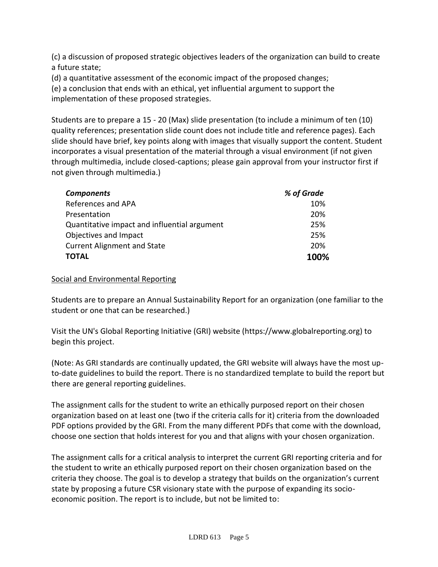(c) a discussion of proposed strategic objectives leaders of the organization can build to create a future state;

(d) a quantitative assessment of the economic impact of the proposed changes;

(e) a conclusion that ends with an ethical, yet influential argument to support the implementation of these proposed strategies.

Students are to prepare a 15 - 20 (Max) slide presentation (to include a minimum of ten (10) quality references; presentation slide count does not include title and reference pages). Each slide should have brief, key points along with images that visually support the content. Student incorporates a visual presentation of the material through a visual environment (if not given through multimedia, include closed-captions; please gain approval from your instructor first if not given through multimedia.)

| <b>Components</b>                            | % of Grade |
|----------------------------------------------|------------|
| References and APA                           | 10%        |
| Presentation                                 | 20%        |
| Quantitative impact and influential argument | 25%        |
| Objectives and Impact                        | 25%        |
| <b>Current Alignment and State</b>           | 20%        |
| ΤΟΤΑL                                        | 100%       |

## Social and Environmental Reporting

Students are to prepare an Annual Sustainability Report for an organization (one familiar to the student or one that can be researched.)

Visit the UN's Global Reporting Initiative (GRI) website (https://www.globalreporting.org) to begin this project.

(Note: As GRI standards are continually updated, the GRI website will always have the most upto-date guidelines to build the report. There is no standardized template to build the report but there are general reporting guidelines.

The assignment calls for the student to write an ethically purposed report on their chosen organization based on at least one (two if the criteria calls for it) criteria from the downloaded PDF options provided by the GRI. From the many different PDFs that come with the download, choose one section that holds interest for you and that aligns with your chosen organization.

The assignment calls for a critical analysis to interpret the current GRI reporting criteria and for the student to write an ethically purposed report on their chosen organization based on the criteria they choose. The goal is to develop a strategy that builds on the organization's current state by proposing a future CSR visionary state with the purpose of expanding its socioeconomic position. The report is to include, but not be limited to: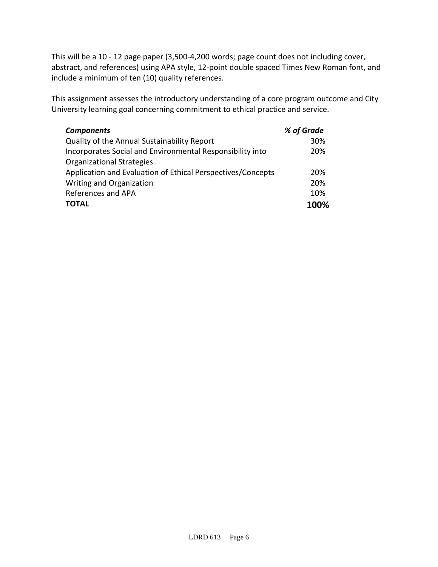This will be a 10 - 12 page paper (3,500-4,200 words; page count does not including cover, abstract, and references) using APA style, 12-point double spaced Times New Roman font, and include a minimum of ten (10) quality references.

This assignment assesses the introductory understanding of a core program outcome and City University learning goal concerning commitment to ethical practice and service.

| <b>Components</b>                                           | % of Grade |
|-------------------------------------------------------------|------------|
| Quality of the Annual Sustainability Report                 | 30%        |
| Incorporates Social and Environmental Responsibility into   | 20%        |
| <b>Organizational Strategies</b>                            |            |
| Application and Evaluation of Ethical Perspectives/Concepts | 20%        |
| Writing and Organization                                    | 20%        |
| References and APA                                          | 10%        |
| <b>TOTAL</b>                                                | 100%       |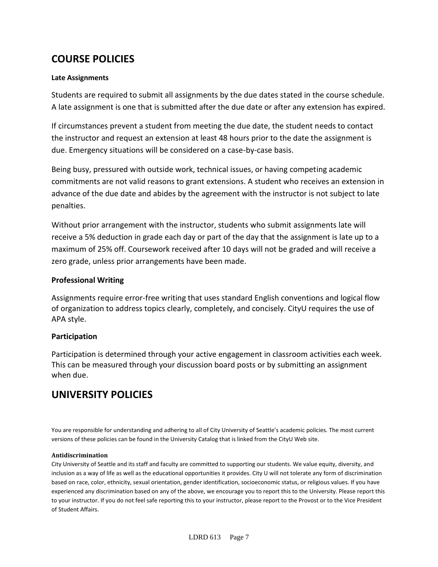# **COURSE POLICIES**

### **Late Assignments**

Students are required to submit all assignments by the due dates stated in the course schedule. A late assignment is one that is submitted after the due date or after any extension has expired.

If circumstances prevent a student from meeting the due date, the student needs to contact the instructor and request an extension at least 48 hours prior to the date the assignment is due. Emergency situations will be considered on a case-by-case basis.

Being busy, pressured with outside work, technical issues, or having competing academic commitments are not valid reasons to grant extensions. A student who receives an extension in advance of the due date and abides by the agreement with the instructor is not subject to late penalties.

Without prior arrangement with the instructor, students who submit assignments late will receive a 5% deduction in grade each day or part of the day that the assignment is late up to a maximum of 25% off. Coursework received after 10 days will not be graded and will receive a zero grade, unless prior arrangements have been made.

### **Professional Writing**

Assignments require error-free writing that uses standard English conventions and logical flow of organization to address topics clearly, completely, and concisely. CityU requires the use of APA style.

## **Participation**

Participation is determined through your active engagement in classroom activities each week. This can be measured through your discussion board posts or by submitting an assignment when due.

## **UNIVERSITY POLICIES**

You are responsible for understanding and adhering to all of City University of Seattle's academic policies. The most current versions of these policies can be found in the University Catalog that is linked from the CityU Web site.

#### **Antidiscrimination**

City University of Seattle and its staff and faculty are committed to supporting our students. We value equity, diversity, and inclusion as a way of life as well as the educational opportunities it provides. City U will not tolerate any form of discrimination based on race, color, ethnicity, sexual orientation, gender identification, socioeconomic status, or religious values. If you have experienced any discrimination based on any of the above, we encourage you to report this to the University. Please report this to your instructor. If you do not feel safe reporting this to your instructor, please report to the Provost or to the Vice President of Student Affairs.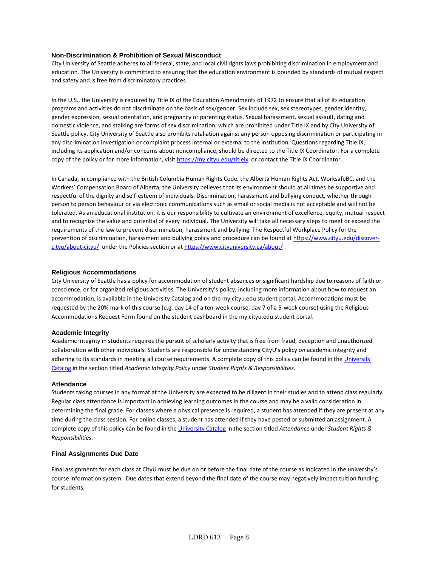#### **Non-Discrimination & Prohibition of Sexual Misconduct**

City University of Seattle adheres to all federal, state, and local civil rights laws prohibiting discrimination in employment and education. The University is committed to ensuring that the education environment is bounded by standards of mutual respect and safety and is free from discriminatory practices.

In the U.S., the University is required by Title IX of the Education Amendments of 1972 to ensure that all of its education programs and activities do not discriminate on the basis of sex/gender. Sex include sex, sex stereotypes, gender identity, gender expression, sexual orientation, and pregnancy or parenting status. Sexual harassment, sexual assault, dating and domestic violence, and stalking are forms of sex discrimination, which are prohibited under Title IX and by City University of Seattle policy. City University of Seattle also prohibits retaliation against any person opposing discrimination or participating in any discrimination investigation or complaint process internal or external to the institution. Questions regarding Title IX, including its application and/or concerns about noncompliance, should be directed to the Title IX Coordinator. For a complete copy of the policy or for more information, visi[t https://my.cityu.edu/titleix](https://my.cityu.edu/titleix) or contact the Title IX Coordinator.

In Canada, in compliance with the British Columbia Human Rights Code, the Alberta Human Rights Act, WorksafeBC, and the Workers' Compensation Board of Alberta, the University believes that its environment should at all times be supportive and respectful of the dignity and self-esteem of individuals. Discrimination, harassment and bullying conduct, whether through person to person behaviour or via electronic communications such as email or social media is not acceptable and will not be tolerated. As an educational institution, it is our responsibility to cultivate an environment of excellence, equity, mutual respect and to recognize the value and potential of every individual. The University will take all necessary steps to meet or exceed the requirements of the law to prevent discrimination, harassment and bullying. The Respectful Workplace Policy for the prevention of discrimination, harassment and bullying policy and procedure can be found at [https://www.cityu.edu/discover](https://www.cityu.edu/discover-cityu/about-cityu/)[cityu/about-cityu/](https://www.cityu.edu/discover-cityu/about-cityu/) under the Policies section or at<https://www.cityuniversity.ca/about/> .

#### **Religious Accommodations**

City University of Seattle has a policy for accommodation of student absences or significant hardship due to reasons of faith or conscience, or for organized religious activities. The University's policy, including more information about how to request an accommodation, is available in the University Catalog and on the my.cityu.edu student portal. Accommodations must be requested by the 20% mark of this course (e.g. day 14 of a ten-week course, day 7 of a 5-week course) using the Religious Accommodations Request Form found on the student dashboard in the my.cityu.edu student portal.

#### **Academic Integrity**

Academic integrity in students requires the pursuit of scholarly activity that is free from fraud, deception and unauthorized collaboration with other individuals. Students are responsible for understanding CityU's policy on academic integrity and adhering to its standards in meeting all course requirements. A complete copy of this policy can be found in th[e University](http://www.cityu.edu/catalog/) [Catalog](http://www.cityu.edu/catalog/) in the section titled *Academic Integrity Policy* under *Student Rights & Responsibilities*.

#### **Attendance**

Students taking courses in any format at the University are expected to be diligent in their studies and to attend class regularly. Regular class attendance is important in achieving learning outcomes in the course and may be a valid consideration in determining the final grade. For classes where a physical presence is required, a student has attended if they are present at any time during the class session. For online classes, a student has attended if they have posted or submitted an assignment. A complete copy of this policy can be found in th[e University Catalog](http://www.cityu.edu/catalog/) in the section titled *Attendance* under *Student Rights & Responsibilities*.

#### **Final Assignments Due Date**

Final assignments for each class at CityU must be due on or before the final date of the course as indicated in the university's course information system. Due dates that extend beyond the final date of the course may negatively impact tuition funding for students.